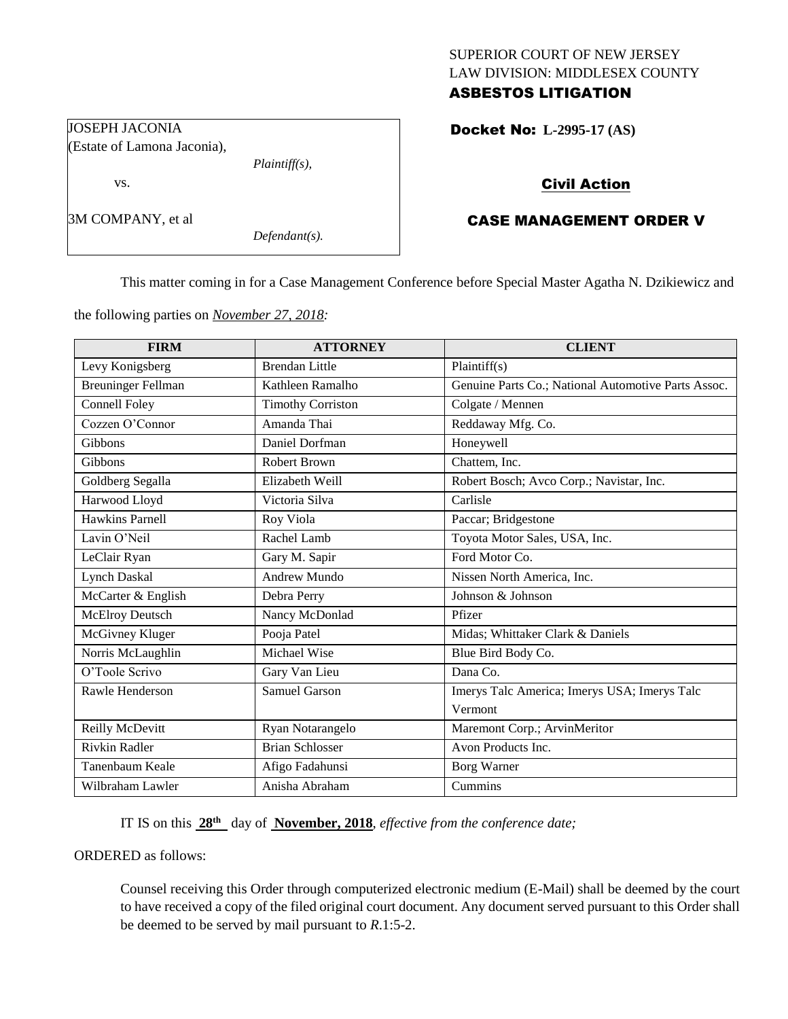## SUPERIOR COURT OF NEW JERSEY LAW DIVISION: MIDDLESEX COUNTY ASBESTOS LITIGATION

Docket No: **L-2995-17 (AS)** 

## Civil Action

# CASE MANAGEMENT ORDER V

This matter coming in for a Case Management Conference before Special Master Agatha N. Dzikiewicz and

the following parties on *November 27, 2018:*

| <b>FIRM</b>               | <b>ATTORNEY</b>          | <b>CLIENT</b>                                       |
|---------------------------|--------------------------|-----------------------------------------------------|
| Levy Konigsberg           | <b>Brendan Little</b>    | Plaintiff(s)                                        |
| <b>Breuninger Fellman</b> | Kathleen Ramalho         | Genuine Parts Co.; National Automotive Parts Assoc. |
| Connell Foley             | <b>Timothy Corriston</b> | Colgate / Mennen                                    |
| Cozzen O'Connor           | Amanda Thai              | Reddaway Mfg. Co.                                   |
| Gibbons                   | Daniel Dorfman           | Honeywell                                           |
| Gibbons                   | <b>Robert Brown</b>      | Chattem, Inc.                                       |
| Goldberg Segalla          | Elizabeth Weill          | Robert Bosch; Avco Corp.; Navistar, Inc.            |
| Harwood Lloyd             | Victoria Silva           | Carlisle                                            |
| <b>Hawkins Parnell</b>    | Roy Viola                | Paccar; Bridgestone                                 |
| Lavin O'Neil              | Rachel Lamb              | Toyota Motor Sales, USA, Inc.                       |
| LeClair Ryan              | Gary M. Sapir            | Ford Motor Co.                                      |
| <b>Lynch Daskal</b>       | Andrew Mundo             | Nissen North America, Inc.                          |
| McCarter & English        | Debra Perry              | Johnson & Johnson                                   |
| <b>McElroy Deutsch</b>    | Nancy McDonlad           | Pfizer                                              |
| McGivney Kluger           | Pooja Patel              | Midas; Whittaker Clark & Daniels                    |
| Norris McLaughlin         | Michael Wise             | Blue Bird Body Co.                                  |
| O'Toole Scrivo            | Gary Van Lieu            | Dana Co.                                            |
| Rawle Henderson           | <b>Samuel Garson</b>     | Imerys Talc America; Imerys USA; Imerys Talc        |
|                           |                          | Vermont                                             |
| Reilly McDevitt           | Ryan Notarangelo         | Maremont Corp.; ArvinMeritor                        |
| <b>Rivkin Radler</b>      | <b>Brian Schlosser</b>   | Avon Products Inc.                                  |
| Tanenbaum Keale           | Afigo Fadahunsi          | <b>Borg Warner</b>                                  |
| Wilbraham Lawler          | Anisha Abraham           | Cummins                                             |

IT IS on this  $28<sup>th</sup>$  day of **November, 2018**, *effective from the conference date*;

ORDERED as follows:

Counsel receiving this Order through computerized electronic medium (E-Mail) shall be deemed by the court to have received a copy of the filed original court document. Any document served pursuant to this Order shall be deemed to be served by mail pursuant to *R*.1:5-2.

JOSEPH JACONIA (Estate of Lamona Jaconia),

vs.

3M COMPANY, et al

*Defendant(s).*

*Plaintiff(s),*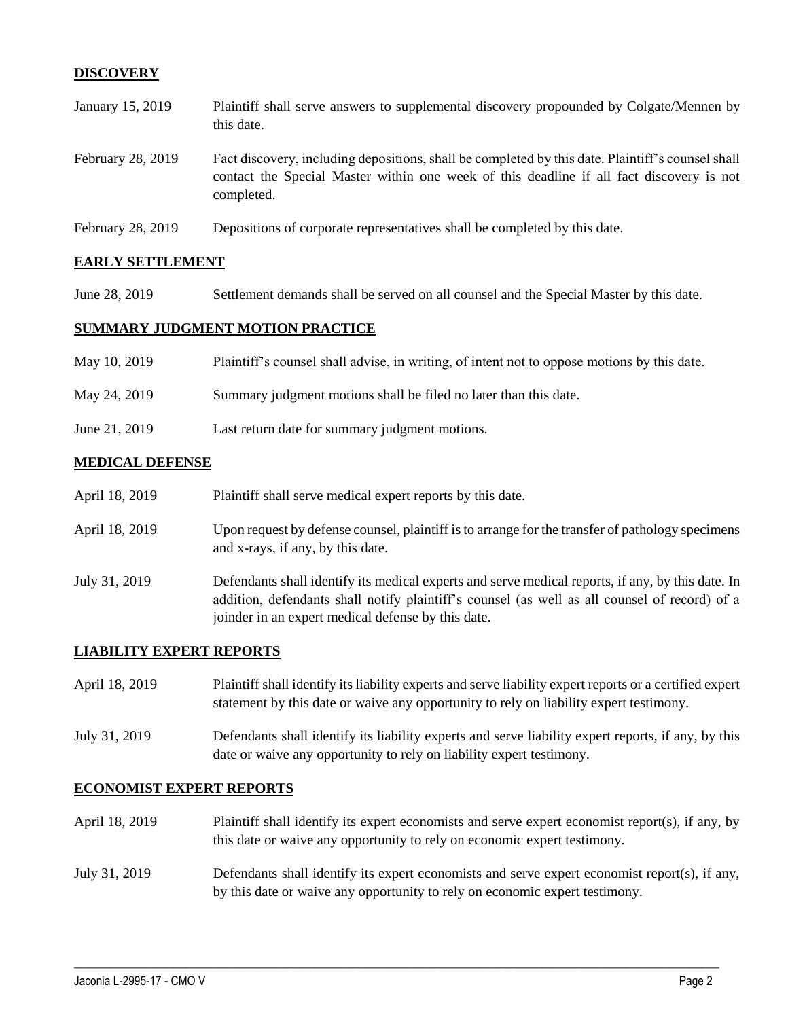## **DISCOVERY**

- January 15, 2019 Plaintiff shall serve answers to supplemental discovery propounded by Colgate/Mennen by this date. February 28, 2019 Fact discovery, including depositions, shall be completed by this date. Plaintiff's counsel shall contact the Special Master within one week of this deadline if all fact discovery is not completed.
- February 28, 2019 Depositions of corporate representatives shall be completed by this date.

### **EARLY SETTLEMENT**

June 28, 2019 Settlement demands shall be served on all counsel and the Special Master by this date.

### **SUMMARY JUDGMENT MOTION PRACTICE**

| May 10, 2019  | Plaintiff's counsel shall advise, in writing, of intent not to oppose motions by this date. |
|---------------|---------------------------------------------------------------------------------------------|
| May 24, 2019  | Summary judgment motions shall be filed no later than this date.                            |
| June 21, 2019 | Last return date for summary judgment motions.                                              |

#### **MEDICAL DEFENSE**

| April 18, 2019 | Plaintiff shall serve medical expert reports by this date.                                                                                                                                                                                               |
|----------------|----------------------------------------------------------------------------------------------------------------------------------------------------------------------------------------------------------------------------------------------------------|
| April 18, 2019 | Upon request by defense counsel, plaintiff is to arrange for the transfer of pathology specimens<br>and x-rays, if any, by this date.                                                                                                                    |
| July 31, 2019  | Defendants shall identify its medical experts and serve medical reports, if any, by this date. In<br>addition, defendants shall notify plaintiff's counsel (as well as all counsel of record) of a<br>joinder in an expert medical defense by this date. |

### **LIABILITY EXPERT REPORTS**

| April 18, 2019 | Plaintiff shall identify its liability experts and serve liability expert reports or a certified expert<br>statement by this date or waive any opportunity to rely on liability expert testimony. |
|----------------|---------------------------------------------------------------------------------------------------------------------------------------------------------------------------------------------------|
| July 31, 2019  | Defendants shall identify its liability experts and serve liability expert reports, if any, by this<br>date or waive any opportunity to rely on liability expert testimony.                       |

#### **ECONOMIST EXPERT REPORTS**

April 18, 2019 Plaintiff shall identify its expert economists and serve expert economist report(s), if any, by this date or waive any opportunity to rely on economic expert testimony.

## July 31, 2019 Defendants shall identify its expert economists and serve expert economist report(s), if any, by this date or waive any opportunity to rely on economic expert testimony.

 $\_$  ,  $\_$  ,  $\_$  ,  $\_$  ,  $\_$  ,  $\_$  ,  $\_$  ,  $\_$  ,  $\_$  ,  $\_$  ,  $\_$  ,  $\_$  ,  $\_$  ,  $\_$  ,  $\_$  ,  $\_$  ,  $\_$  ,  $\_$  ,  $\_$  ,  $\_$  ,  $\_$  ,  $\_$  ,  $\_$  ,  $\_$  ,  $\_$  ,  $\_$  ,  $\_$  ,  $\_$  ,  $\_$  ,  $\_$  ,  $\_$  ,  $\_$  ,  $\_$  ,  $\_$  ,  $\_$  ,  $\_$  ,  $\_$  ,